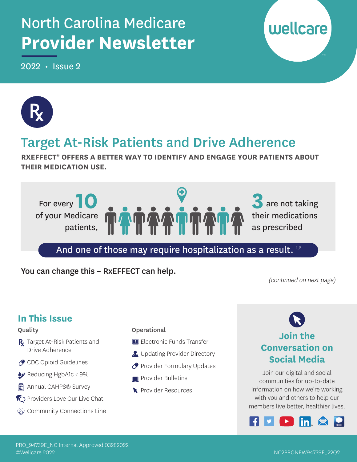# North Carolina Medicare **Provider Newsletter**

2022 • Issue 2





### Target At-Risk Patients and Drive Adherence

**RXEFFECT® OFFERS A BETTER WAY TO IDENTIFY AND ENGAGE YOUR PATIENTS ABOUT THEIR MEDICATION USE.** 



### And one of those may require hospitalization as a result.<sup>1,2</sup>

You can change this – RxEFFECT can help.

(continued on next page)

#### **In This Issue**  Quality **Operational Join the**  R Target At-Risk Patients and **ELECTRONIC FUNDS Transfer Conversation on**  Drive Adherence **B** Updating Provider Directory **Social Media**  ◆ CDC Opioid Guidelines **P** Provider Formulary Updates Join our digital and social Reducing HgbA1c < 9% **Provider Bulletins** communities for up-to-date **图 Annual CAHPS® Survey** information on how we're working Provider Resources with you and others to help our **C** Providers Love Our Live Chat members live better, healthier lives. **Community Connections Line** lin L

#### PRO\_94739E\_NC Internal Approved 03282022 ©Wellcare 2022 NC2PRONEW94739E\_22Q2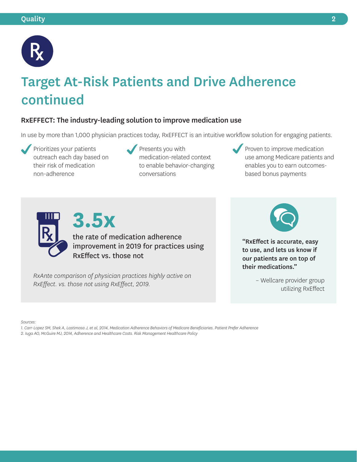

# Target At-Risk Patients and Drive Adherence continued

#### RxEFFECT: The industry-leading solution to improve medication use

In use by more than 1,000 physician practices today, RxEFFECT is an intuitive workflow solution for engaging patients.

 Prioritizes your patients outreach each day based on their risk of medication non-adherence

- Presents you with medication-related context to enable behavior-changing conversations
- Proven to improve medication use among Medicare patients and enables you to earn outcomesbased bonus payments



the rate of medication adherence improvement in 2019 for practices using RxEffect vs. those not

*RxAnte comparison of physician practices highly active on RxEffect. vs. those not using RxEffect, 2019.* 

**3.5x** 



"RxEffect is accurate, easy to use, and lets us know if our patients are on top of their medications."

– Wellcare provider group utilizing RxEffect

*Sources:* 

*1. Carr-Lopez SM, Shek A, Lastimosa J, et al, 2014, Medication Adherence Behaviors of Medicare Beneficiaries. Patient Prefer Adherence* 

*2. Iuga AO, McGuire MJ, 2014, Adherence and Healthcare Costs. Risk Management Healthcare Policy*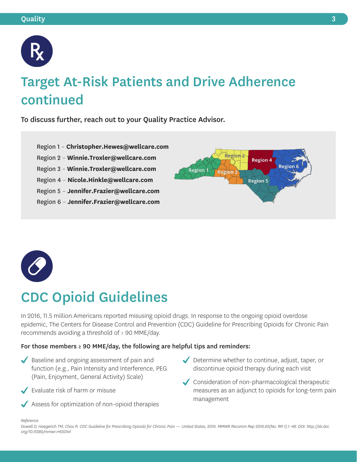

# Target At-Risk Patients and Drive Adherence continued

To discuss further, reach out to your Quality Practice Advisor.

- Region 1 **[Christopher.Hewes@wellcare.com](mailto:Christopher.Hewes@wellcare.com)**
- Region 2 **[Winnie.Troxler@wellcare.com](mailto:Winnie.Troxler@wellcare.com)**
- Region 3 **[Winnie.Troxler@wellcare.com](mailto:Winnie.Troxler@wellcare.com)**
- Region 4 **[Nicole.Hinkle@wellcare.com](mailto:Nicole.Hinkle@wellcare.com)**
- Region 5 **[Jennifer.Frazier@wellcare.com](mailto:Jennifer.Frazier@wellcare.com)**
- Region 6 **[Jennifer.Frazier@wellcare.com](mailto:Jennifer.Frazier@wellcare.com)**





# CDC Opioid Guidelines

In 2016, 11.5 million Americans reported misusing opioid drugs. In response to the ongoing opioid overdose epidemic, The Centers for Disease Control and Prevention (CDC) Guideline for Prescribing Opioids for Chronic Pain recommends avoiding a threshold of > 90 MME/day.

#### For those members  $\geq$  90 MME/day, the following are helpful tips and reminders:

- Baseline and ongoing assessment of pain and function (e.g., Pain Intensity and Interference, PEG (Pain, Enjoyment, General Activity) Scale)
- Evaluate risk of harm or misuse
- Assess for optimization of non-opioid therapies
- Determine whether to continue, adjust, taper, or discontinue opioid therapy during each visit
- Consideration of non-pharmacological therapeutic measures as an adjunct to opioids for long-term pain management

#### *Reference*

*Dowell D, Haegerich TM, Chou R. CDC Guideline for Prescribing Opioids for Chronic Pain — United States, 2016. MMWR Recomm Rep 2016;65(No. RR-1):1–49. DOI: [http://dx.doi](http://dx.doi.org/10.15585/mmwr.rr6501e1). [org/10.15585/mmwr.rr6501e1](http://dx.doi.org/10.15585/mmwr.rr6501e1)*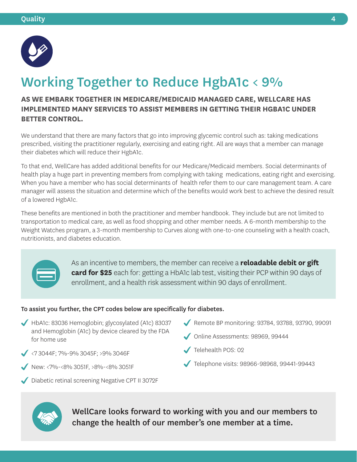

# Working Together to Reduce HgbA1c < 9%

### **BETTER CONTROL. AS WE EMBARK TOGETHER IN MEDICARE/MEDICAID MANAGED CARE, WELLCARE HAS IMPLEMENTED MANY SERVICES TO ASSIST MEMBERS IN GETTING THEIR HGBA1C UNDER**

We understand that there are many factors that go into improving glycemic control such as: taking medications prescribed, visiting the practitioner regularly, exercising and eating right. All are ways that a member can manage their diabetes which will reduce their HgbA1c.

To that end, WellCare has added additional benefits for our Medicare/Medicaid members. Social determinants of health play a huge part in preventing members from complying with taking medications, eating right and exercising. When you have a member who has social determinants of health refer them to our care management team. A care manager will assess the situation and determine which of the benefits would work best to achieve the desired result of a lowered HgbA1c.

These benefits are mentioned in both the practitioner and member handbook. They include but are not limited to transportation to medical care, as well as food shopping and other member needs. A 6-month membership to the Weight Watches program, a 3-month membership to Curves along with one-to-one counseling with a health coach, nutritionists, and diabetes education.



 enrollment, and a health risk assessment within 90 days of enrollment. As an incentive to members, the member can receive a **reloadable debit or gift card for \$25** each for: getting a HbA1c lab test, visiting their PCP within 90 days of

#### To assist you further, the CPT codes below are specifically for diabetes.

- HbA1c: 83036 Hemoglobin; glycosylated (A1c) 83037 and Hemoglobin (A1c) by device cleared by the FDA for home use
- $\sqrt{273044}$ F; 7%-9% 3045F; >9% 3046F
- New: <7%-<8% 3051F, >8%-<8% 3051F
- Diabetic retinal screening Negative CPT II 3072F
- Remote BP monitoring: 93784, 93788, 93790, 99091
- Online Assessments: 98969, 99444
- Telehealth POS: 02
- Telephone visits: 98966-98968, 99441-99443



WellCare looks forward to working with you and our members to change the health of our member's one member at a time.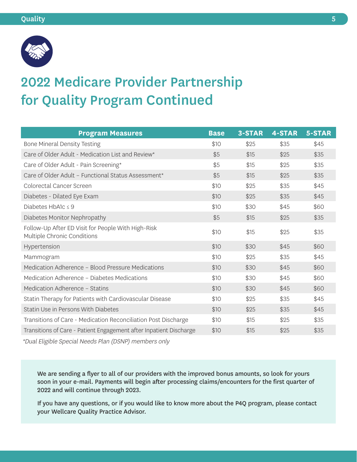

# 2022 Medicare Provider Partnership for Quality Program Continued

| <b>Program Measures</b>                                                           | <b>Base</b> | 3-STAR | <b>4-STAR</b> | 5-STAR |
|-----------------------------------------------------------------------------------|-------------|--------|---------------|--------|
| Bone Mineral Density Testing                                                      | \$10        | \$25   | \$35          | \$45   |
| Care of Older Adult - Medication List and Review*                                 | \$5         | \$15   | \$25          | \$35   |
| Care of Older Adult - Pain Screening*                                             | \$5         | \$15   | \$25          | \$35   |
| Care of Older Adult - Functional Status Assessment*                               | \$5         | \$15   | \$25          | \$35   |
| Colorectal Cancer Screen                                                          | \$10        | \$25   | \$35          | \$45   |
| Diabetes - Dilated Eye Exam                                                       | \$10        | \$25   | \$35          | \$45   |
| Diabetes HbA1c $\leq$ 9                                                           | \$10        | \$30   | \$45          | \$60   |
| Diabetes Monitor Nephropathy                                                      | \$5         | \$15   | \$25          | \$35   |
| Follow-Up After ED Visit for People With High-Risk<br>Multiple Chronic Conditions | \$10        | \$15   | \$25          | \$35   |
| Hypertension                                                                      | \$10        | \$30   | \$45          | \$60   |
| Mammogram                                                                         | \$10        | \$25   | \$35          | \$45   |
| Medication Adherence - Blood Pressure Medications                                 | \$10        | \$30   | \$45          | \$60   |
| Medication Adherence – Diabetes Medications                                       | \$10        | \$30   | \$45          | \$60   |
| Medication Adherence - Statins                                                    | \$10        | \$30   | \$45          | \$60   |
| Statin Therapy for Patients with Cardiovascular Disease                           | \$10        | \$25   | \$35          | \$45   |
| Statin Use in Persons With Diabetes                                               | \$10        | \$25   | \$35          | \$45   |
| Transitions of Care - Medication Reconciliation Post Discharge                    | \$10        | \$15   | \$25          | \$35   |
| Transitions of Care - Patient Engagement after Inpatient Discharge                | \$10        | \$15   | \$25          | \$35   |

\*Dual Eligible Special Needs Plan (DSNP) members only

We are sending a flyer to all of our providers with the improved bonus amounts, so look for yours soon in your e-mail. Payments will begin after processing claims/encounters for the first quarter of 2022 and will continue through 2023.

If you have any questions, or if you would like to know more about the P4Q program, please contact your Wellcare Quality Practice Advisor.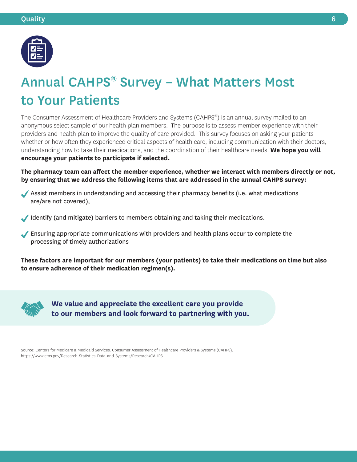

### Annual CAHPS® Survey – What Matters Most to Your Patients

The Consumer Assessment of Healthcare Providers and Systems (CAHPS®) is an annual survey mailed to an anonymous select sample of our health plan members. The purpose is to assess member experience with their providers and health plan to improve the quality of care provided. This survey focuses on asking your patients whether or how often they experienced critical aspects of health care, including communication with their doctors, understanding how to take their medications, and the coordination of their healthcare needs. **We hope you will encourage your patients to participate if selected.** 

**The pharmacy team can affect the member experience, whether we interact with members directly or not, by ensuring that we address the following items that are addressed in the annual CAHPS survey:** 

- Assist members in understanding and accessing their pharmacy benefits (i.e. what medications are/are not covered),
- Identify (and mitigate) barriers to members obtaining and taking their medications.
- Ensuring appropriate communications with providers and health plans occur to complete the processing of timely authorizations

**These factors are important for our members (your patients) to take their medications on time but also to ensure adherence of their medication regimen(s).** 



**We value and appreciate the excellent care you provide to our members and look forward to partnering with you.** 

Source: Centers for Medicare & Medicaid Services. Consumer Assessment of Healthcare Providers & Systems (CAHPS). <https://www.cms.gov/Research-Statistics-Data-and-Systems/Research/CAHPS>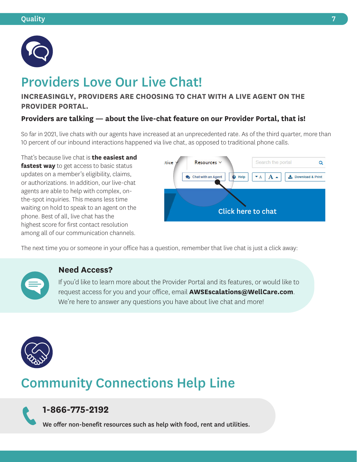

# Providers Love Our Live Chat!

#### **INCREASINGLY, PROVIDERS ARE CHOOSING TO CHAT WITH A LIVE AGENT ON THE PROVIDER PORTAL.**

#### **Providers are talking — about the live-chat feature on our Provider Portal, that is!**

So far in 2021, live chats with our agents have increased at an unprecedented rate. As of the third quarter, more than 10 percent of our inbound interactions happened via live chat, as opposed to traditional phone calls.

That's because live chat is **the easiest and fastest way** to get access to basic status updates on a member's eligibility, claims, or authorizations. In addition, our live-chat agents are able to help with complex, onthe-spot inquiries. This means less time waiting on hold to speak to an agent on the phone. Best of all, live chat has the highest score for first contact resolution among all of our communication channels.



The next time you or someone in your office has a question, remember that live chat is just a click away:



#### **Need Access?**

If you'd like to learn more about the Provider Portal and its features, or would like to request access for you and your office, email **[AWSEscalations@WellCare.com](mailto:AWSEscalations@WellCare.com)**. We're here to answer any questions you have about live chat and more!



# Community Connections Help Line

### **1-866-775-2192**

We offer non-benefit resources such as help with food, rent and utilities.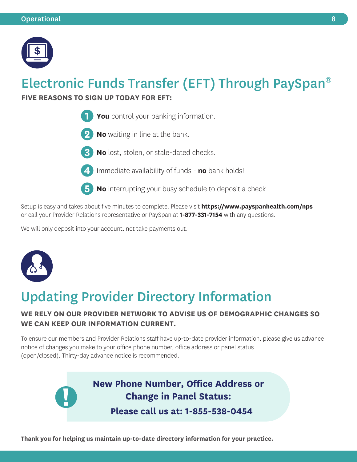

# Electronic Funds Transfer (EFT) Through PaySpan®

#### **FIVE REASONS TO SIGN UP TODAY FOR EFT:**



- **No** waiting in line at the bank.
- **No** lost, stolen, or stale-dated checks.
- - **4** Immediate availability of funds **no** bank holds!
	- **No** interrupting your busy schedule to deposit a check.

Setup is easy and takes about five minutes to complete. Please visit **<https://www.payspanhealth.com/nps>** or call your Provider Relations representative or PaySpan at **1-877-331-7154** with any questions.

We will only deposit into your account, not take payments out.



### Updating Provider Directory Information

### **WE RELY ON OUR PROVIDER NETWORK TO ADVISE US OF DEMOGRAPHIC CHANGES SO WE CAN KEEP OUR INFORMATION CURRENT.**

To ensure our members and Provider Relations staff have up-to-date provider information, please give us advance notice of changes you make to your office phone number, office address or panel status (open/closed). Thirty-day advance notice is recommended.

> **New Phone Number, Office Address or Change in Panel Status: Please call us at: 1-855-538-0454**

**Thank you for helping us maintain up-to-date directory information for your practice.**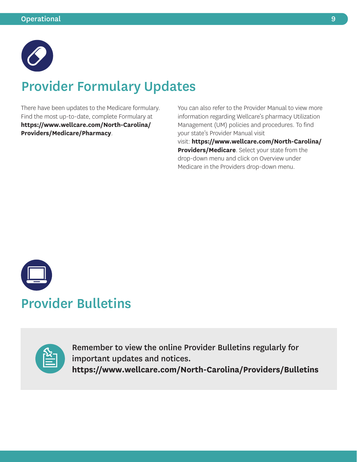

# Provider Formulary Updates

There have been updates to the Medicare formulary. Find the most up-to-date, complete Formulary at **[https://www.wellcare.com/North-Carolina/](https://www.wellcare.com/North-Carolina/Providers/Medicare/Pharmacy)  Providers/Medicare/Pharmacy**.

You can also refer to the Provider Manual to view more information regarding Wellcare's pharmacy Utilization Management (UM) policies and procedures. To find your state's Provider Manual visit visit: **[https://www.wellcare.com/North-Carolina/](https://www.wellcare.com/North-Carolina/Providers/Medicare)  [Providers/Medicare](https://www.wellcare.com/North-Carolina/Providers/Medicare)**. Select your state from the drop-down menu and click on Overview under Medicare in the Providers drop-down menu.





Remember to view the online Provider Bulletins regularly for important updates and notices. **<https://www.wellcare.com/North-Carolina/Providers/Bulletins>**